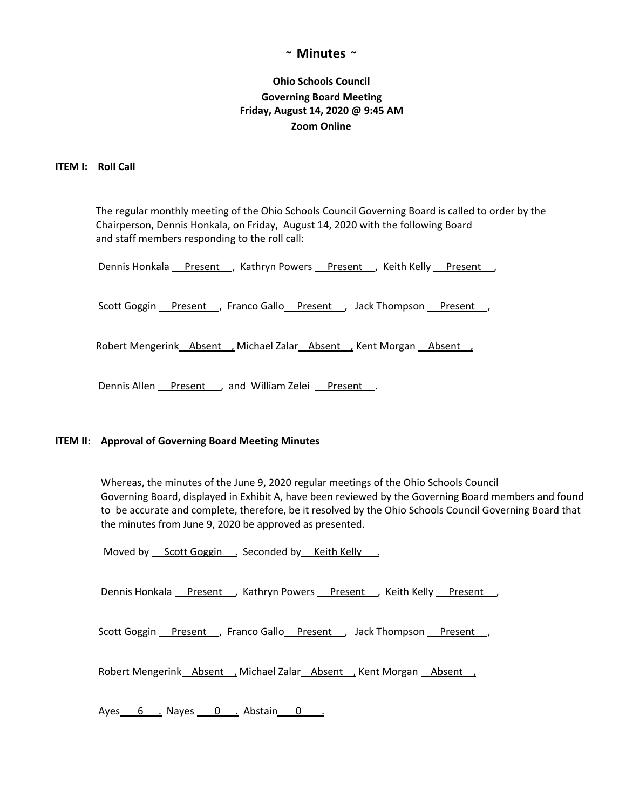# **~ Minutes ~**

# **Ohio Schools Council Governing Board Meeting Friday, August 14, 2020 @ 9:45 AM Zoom Online**

### **ITEM I: Roll Call**

The regular monthly meeting of the Ohio Schools Council Governing Board is called to order by the Chairperson, Dennis Honkala, on Friday, August 14, 2020 with the following Board and staff members responding to the roll call:

| Dennis Honkala Present , Kathryn Powers Present , Keith Kelly Present, |
|------------------------------------------------------------------------|
| Scott Goggin Present , Franco Gallo Present , Jack Thompson Present ,  |
| Robert Mengerink_Absent_, Michael Zalar_Absent_, Kent Morgan _Absent_, |
| Dennis Allen Present , and William Zelei Present.                      |

### **ITEM II: Approval of Governing Board Meeting Minutes**

Whereas, the minutes of the June 9, 2020 regular meetings of the Ohio Schools Council Governing Board, displayed in Exhibit A, have been reviewed by the Governing Board members and found to be accurate and complete, therefore, be it resolved by the Ohio Schools Council Governing Board that the minutes from June 9, 2020 be approved as presented.

Moved by Scott Goggin . Seconded by Keith Kelly .

Dennis Honkala Present , Kathryn Powers Present , Keith Kelly Present ,

Scott Goggin Present , Franco Gallo Present , Jack Thompson Present,

Robert Mengerink Absent , Michael Zalar Absent , Kent Morgan Absent ,

Ayes 6 . Nayes 0 . Abstain 0 .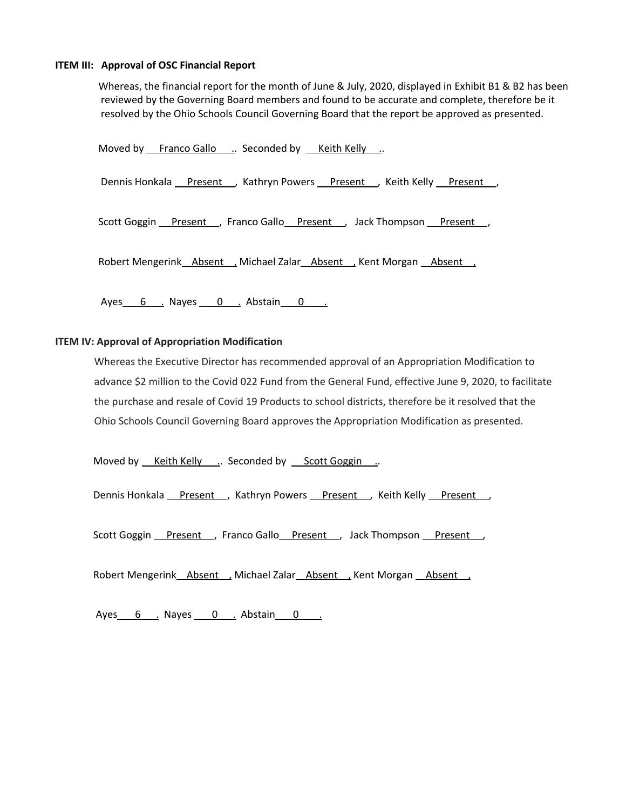#### **ITEM III: Approval of OSC Financial Report**

Whereas, the financial report for the month of June & July, 2020, displayed in Exhibit B1 & B2 has been reviewed by the Governing Board members and found to be accurate and complete, therefore be it resolved by the Ohio Schools Council Governing Board that the report be approved as presented.

Moved by Franco Gallo .. Seconded by Keith Kelly .. Dennis Honkala Present , Kathryn Powers Present , Keith Kelly Present, Scott Goggin Present , Franco Gallo Present , Jack Thompson Present , Robert Mengerink Absent , Michael Zalar Absent , Kent Morgan Absent ,

Ayes 6 . Nayes 0 . Abstain 0 .

## **ITEM IV: Approval of Appropriation Modification**

Whereas the Executive Director has recommended approval of an Appropriation Modification to advance \$2 million to the Covid 022 Fund from the General Fund, effective June 9, 2020, to facilitate the purchase and resale of Covid 19 Products to school districts, therefore be it resolved that the Ohio Schools Council Governing Board approves the Appropriation Modification as presented.

Moved by <u>Keith Kelly ..</u> Seconded by Scott Goggin ...

Dennis Honkala Present , Kathryn Powers Present , Keith Kelly Present,

Scott Goggin Present , Franco Gallo Present , Jack Thompson Present ,

Robert Mengerink Absent , Michael Zalar Absent , Kent Morgan Absent ,

Ayes 6 . Nayes 0 . Abstain 0 .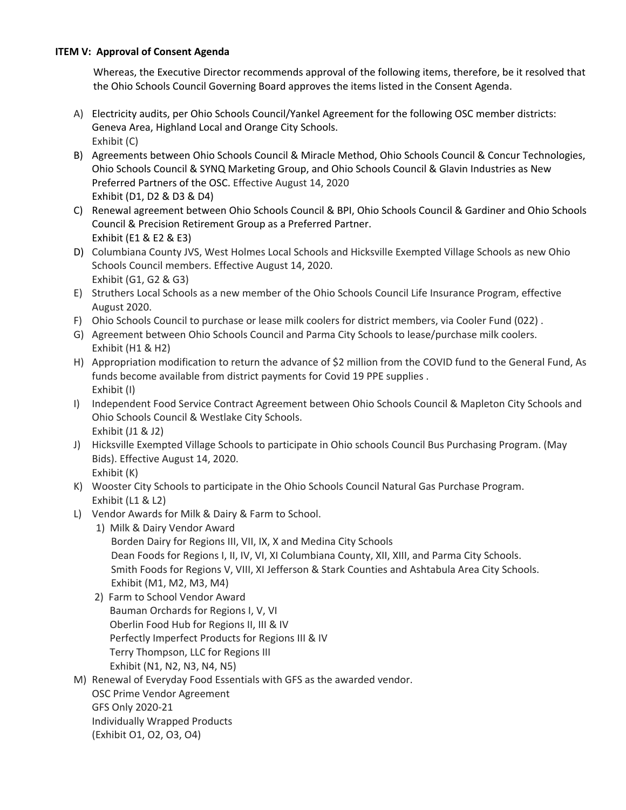# **ITEM V: Approval of Consent Agenda**

Whereas, the Executive Director recommends approval of the following items, therefore, be it resolved that the Ohio Schools Council Governing Board approves the items listed in the Consent Agenda.

- A) Electricity audits, per Ohio Schools Council/Yankel Agreement for the following OSC member districts: Geneva Area, Highland Local and Orange City Schools. Exhibit (C)
- B) Agreements between Ohio Schools Council & Miracle Method, Ohio Schools Council & Concur Technologies, Ohio Schools Council & SYNQ Marketing Group, and Ohio Schools Council & Glavin Industries as New Preferred Partners of the OSC. Effective August 14, 2020 Exhibit (D1, D2 & D3 & D4)
- C) Renewal agreement between Ohio Schools Council & BPI, Ohio Schools Council & Gardiner and Ohio Schools Council & Precision Retirement Group as a Preferred Partner. Exhibit (E1 & E2 & E3)
- D) Columbiana County JVS, West Holmes Local Schools and Hicksville Exempted Village Schools as new Ohio Schools Council members. Effective August 14, 2020. Exhibit (G1, G2 & G3)
- E) Struthers Local Schools as a new member of the Ohio Schools Council Life Insurance Program, effective August 2020.
- F) Ohio Schools Council to purchase or lease milk coolers for district members, via Cooler Fund (022) .
- G) Agreement between Ohio Schools Council and Parma City Schools to lease/purchase milk coolers. Exhibit (H1 & H2)
- H) Appropriation modification to return the advance of \$2 million from the COVID fund to the General Fund, As funds become available from district payments for Covid 19 PPE supplies . Exhibit (I)
- I) Independent Food Service Contract Agreement between Ohio Schools Council & Mapleton City Schools and Ohio Schools Council & Westlake City Schools. Exhibit (J1 & J2)
- J) Hicksville Exempted Village Schools to participate in Ohio schools Council Bus Purchasing Program. (May Bids). Effective August 14, 2020. Exhibit (K)
- K) Wooster City Schools to participate in the Ohio Schools Council Natural Gas Purchase Program. Exhibit (L1 & L2)
- L) Vendor Awards for Milk & Dairy & Farm to School.
	- 1) Milk & Dairy Vendor Award

Borden Dairy for Regions III, VII, IX, X and Medina City Schools Dean Foods for Regions I, II, IV, VI, XI Columbiana County, XII, XIII, and Parma City Schools. Smith Foods for Regions V, VIII, XI Jefferson & Stark Counties and Ashtabula Area City Schools. Exhibit (M1, M2, M3, M4)

- 2) Farm to School Vendor Award Bauman Orchards for Regions I, V, VI Oberlin Food Hub for Regions II, III & IV Perfectly Imperfect Products for Regions III & IV Terry Thompson, LLC for Regions III Exhibit (N1, N2, N3, N4, N5)
- M) Renewal of Everyday Food Essentials with GFS as the awarded vendor. OSC Prime Vendor Agreement GFS Only 2020-21 Individually Wrapped Products (Exhibit O1, O2, O3, O4)